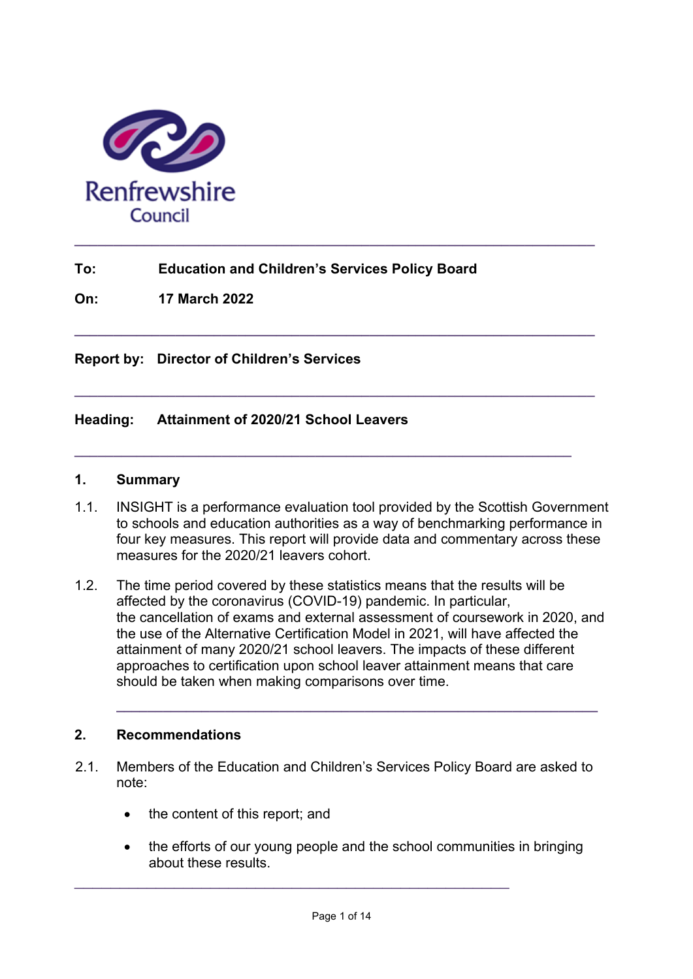

# **To: Education and Children's Services Policy Board**

**On: 17 March 2022**

#### **Report by: Director of Children's Services**

#### **Heading: Attainment of 2020/21 School Leavers**

#### **1. Summary**

1.1. INSIGHT is a performance evaluation tool provided by the Scottish Government to schools and education authorities as a way of benchmarking performance in four key measures. This report will provide data and commentary across these measures for the 2020/21 leavers cohort.

**\_\_\_\_\_\_\_\_\_\_\_\_\_\_\_\_\_\_\_\_\_\_\_\_\_\_\_\_\_\_\_\_\_\_\_\_\_\_\_\_\_\_\_\_\_\_\_\_\_\_\_\_\_\_\_\_\_\_\_\_\_\_\_\_\_\_\_** 

**\_\_\_\_\_\_\_\_\_\_\_\_\_\_\_\_\_\_\_\_\_\_\_\_\_\_\_\_\_\_\_\_\_\_\_\_\_\_\_\_\_\_\_\_\_\_\_\_\_\_\_\_\_\_\_\_\_\_\_\_\_\_\_\_\_\_\_** 

**\_\_\_\_\_\_\_\_\_\_\_\_\_\_\_\_\_\_\_\_\_\_\_\_\_\_\_\_\_\_\_\_\_\_\_\_\_\_\_\_\_\_\_\_\_\_\_\_\_\_\_\_\_\_\_\_\_\_\_\_\_\_\_\_** 

1.2. The time period covered by these statistics means that the results will be affected by the coronavirus (COVID-19) pandemic. In particular, the cancellation of exams and external assessment of coursework in 2020, and the use of the Alternative Certification Model in 2021, will have affected the attainment of many 2020/21 school leavers. The impacts of these different approaches to certification upon school leaver attainment means that care should be taken when making comparisons over time.

**\_\_\_\_\_\_\_\_\_\_\_\_\_\_\_\_\_\_\_\_\_\_\_\_\_\_\_\_\_\_\_\_\_\_\_\_\_\_\_\_\_\_\_\_\_\_\_\_\_\_\_\_\_\_\_\_\_\_\_\_\_\_**

#### **2. Recommendations**

- 2.1. Members of the Education and Children's Services Policy Board are asked to note:
	- the content of this report; and
	- the efforts of our young people and the school communities in bringing about these results.

\_\_\_\_\_\_\_\_\_\_\_\_\_\_\_\_\_\_\_\_\_\_\_\_\_\_\_\_\_\_\_\_\_\_\_\_\_\_\_\_\_\_\_\_\_\_\_\_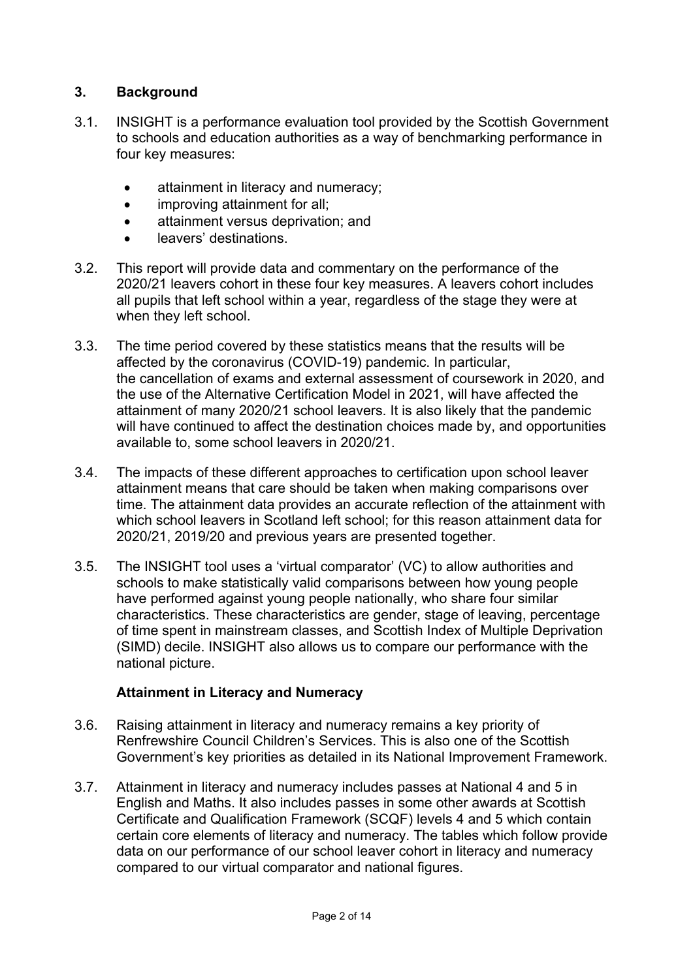# **3. Background**

- 3.1. INSIGHT is a performance evaluation tool provided by the Scottish Government to schools and education authorities as a way of benchmarking performance in four key measures:
	- attainment in literacy and numeracy;
	- improving attainment for all;
	- **•** attainment versus deprivation; and
	- **•** leavers' destinations.
- 3.2. This report will provide data and commentary on the performance of the 2020/21 leavers cohort in these four key measures. A leavers cohort includes all pupils that left school within a year, regardless of the stage they were at when they left school.
- 3.3. The time period covered by these statistics means that the results will be affected by the coronavirus (COVID-19) pandemic. In particular, the cancellation of exams and external assessment of coursework in 2020, and the use of the Alternative Certification Model in 2021, will have affected the attainment of many 2020/21 school leavers. It is also likely that the pandemic will have continued to affect the destination choices made by, and opportunities available to, some school leavers in 2020/21.
- 3.4. The impacts of these different approaches to certification upon school leaver attainment means that care should be taken when making comparisons over time. The attainment data provides an accurate reflection of the attainment with which school leavers in Scotland left school; for this reason attainment data for 2020/21, 2019/20 and previous years are presented together.
- 3.5. The INSIGHT tool uses a 'virtual comparator' (VC) to allow authorities and schools to make statistically valid comparisons between how young people have performed against young people nationally, who share four similar characteristics. These characteristics are gender, stage of leaving, percentage of time spent in mainstream classes, and Scottish Index of Multiple Deprivation (SIMD) decile. INSIGHT also allows us to compare our performance with the national picture.

## **Attainment in Literacy and Numeracy**

- 3.6. Raising attainment in literacy and numeracy remains a key priority of Renfrewshire Council Children's Services. This is also one of the Scottish Government's key priorities as detailed in its National Improvement Framework.
- 3.7. Attainment in literacy and numeracy includes passes at National 4 and 5 in English and Maths. It also includes passes in some other awards at Scottish Certificate and Qualification Framework (SCQF) levels 4 and 5 which contain certain core elements of literacy and numeracy. The tables which follow provide data on our performance of our school leaver cohort in literacy and numeracy compared to our virtual comparator and national figures.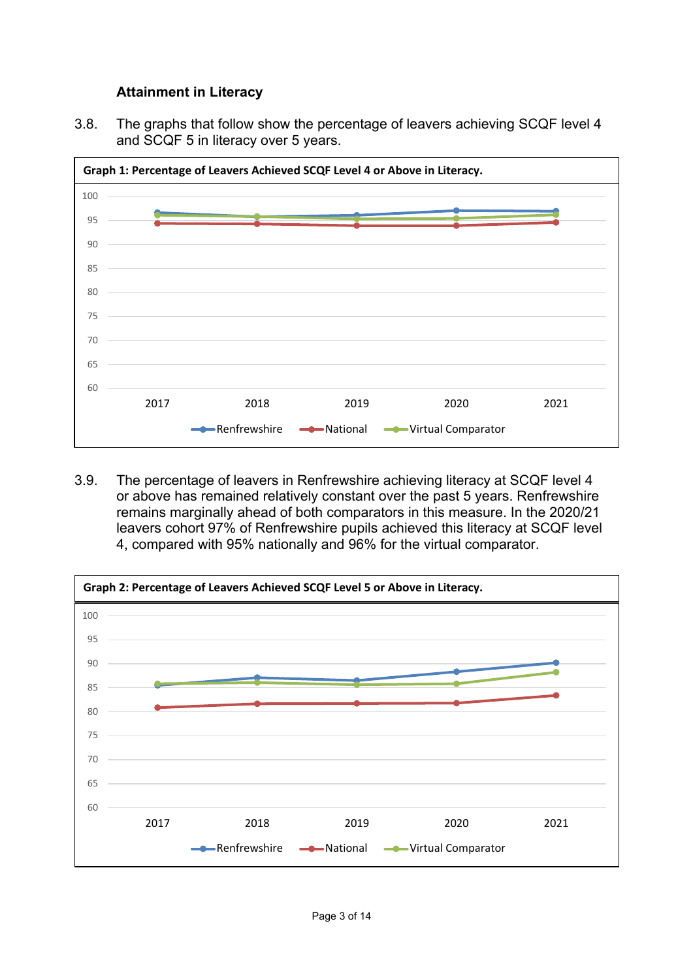## **Attainment in Literacy**

3.8. The graphs that follow show the percentage of leavers achieving SCQF level 4 and SCQF 5 in literacy over 5 years.



3.9. The percentage of leavers in Renfrewshire achieving literacy at SCQF level 4 or above has remained relatively constant over the past 5 years. Renfrewshire remains marginally ahead of both comparators in this measure. In the 2020/21 leavers cohort 97% of Renfrewshire pupils achieved this literacy at SCQF level 4, compared with 95% nationally and 96% for the virtual comparator.

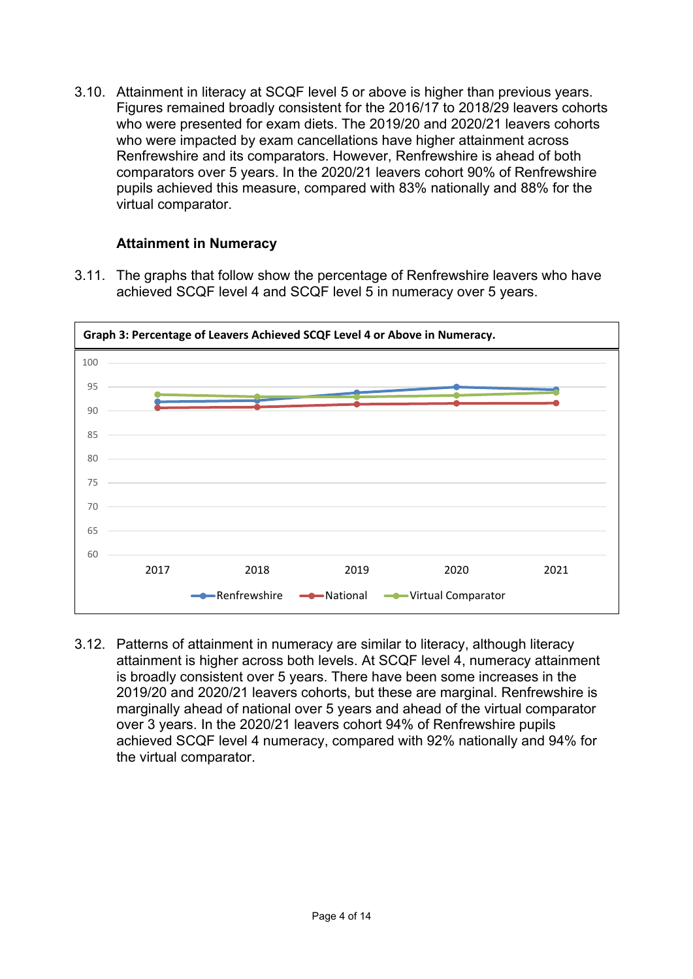3.10. Attainment in literacy at SCQF level 5 or above is higher than previous years. Figures remained broadly consistent for the 2016/17 to 2018/29 leavers cohorts who were presented for exam diets. The 2019/20 and 2020/21 leavers cohorts who were impacted by exam cancellations have higher attainment across Renfrewshire and its comparators. However, Renfrewshire is ahead of both comparators over 5 years. In the 2020/21 leavers cohort 90% of Renfrewshire pupils achieved this measure, compared with 83% nationally and 88% for the virtual comparator.

# **Attainment in Numeracy**

3.11. The graphs that follow show the percentage of Renfrewshire leavers who have achieved SCQF level 4 and SCQF level 5 in numeracy over 5 years.



3.12. Patterns of attainment in numeracy are similar to literacy, although literacy attainment is higher across both levels. At SCQF level 4, numeracy attainment is broadly consistent over 5 years. There have been some increases in the 2019/20 and 2020/21 leavers cohorts, but these are marginal. Renfrewshire is marginally ahead of national over 5 years and ahead of the virtual comparator over 3 years. In the 2020/21 leavers cohort 94% of Renfrewshire pupils achieved SCQF level 4 numeracy, compared with 92% nationally and 94% for the virtual comparator.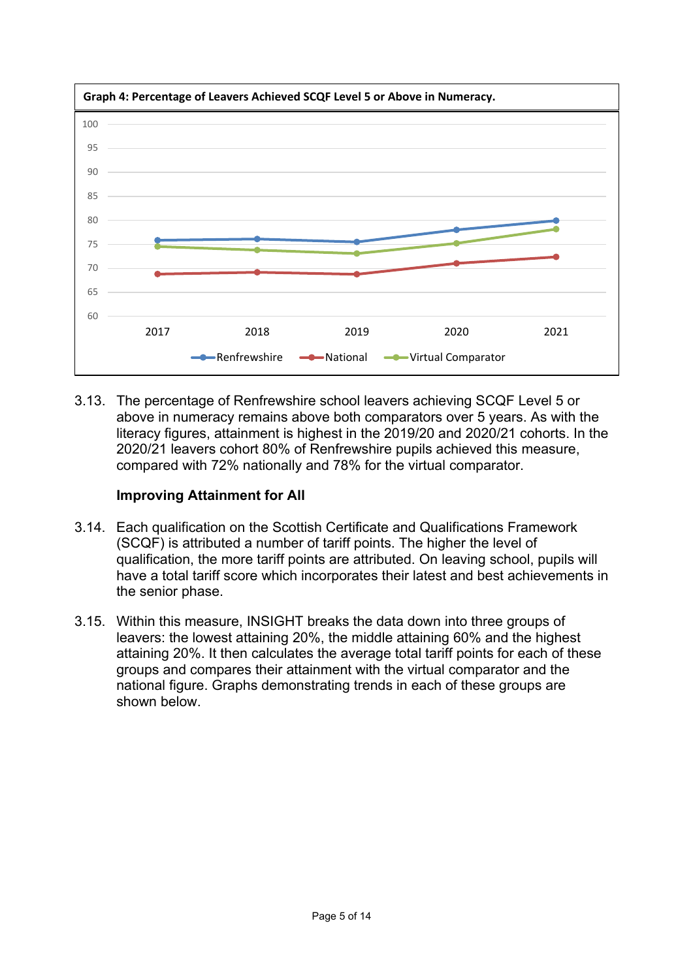

3.13. The percentage of Renfrewshire school leavers achieving SCQF Level 5 or above in numeracy remains above both comparators over 5 years. As with the literacy figures, attainment is highest in the 2019/20 and 2020/21 cohorts. In the 2020/21 leavers cohort 80% of Renfrewshire pupils achieved this measure, compared with 72% nationally and 78% for the virtual comparator.

## **Improving Attainment for All**

- 3.14. Each qualification on the Scottish Certificate and Qualifications Framework (SCQF) is attributed a number of tariff points. The higher the level of qualification, the more tariff points are attributed. On leaving school, pupils will have a total tariff score which incorporates their latest and best achievements in the senior phase.
- 3.15. Within this measure, INSIGHT breaks the data down into three groups of leavers: the lowest attaining 20%, the middle attaining 60% and the highest attaining 20%. It then calculates the average total tariff points for each of these groups and compares their attainment with the virtual comparator and the national figure. Graphs demonstrating trends in each of these groups are shown below.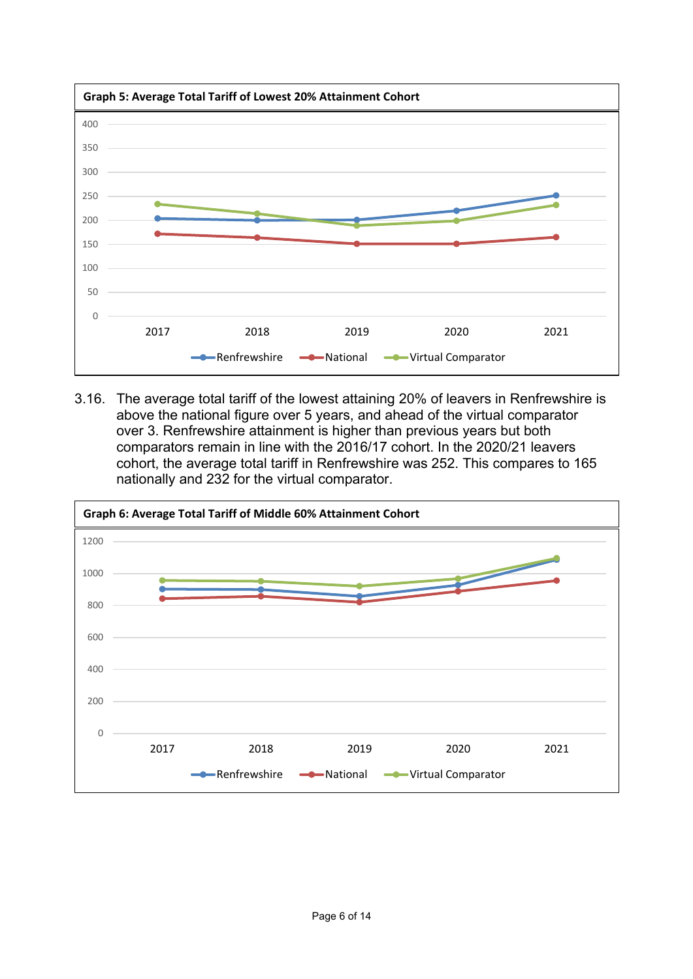

3.16. The average total tariff of the lowest attaining 20% of leavers in Renfrewshire is above the national figure over 5 years, and ahead of the virtual comparator over 3. Renfrewshire attainment is higher than previous years but both comparators remain in line with the 2016/17 cohort. In the 2020/21 leavers cohort, the average total tariff in Renfrewshire was 252. This compares to 165 nationally and 232 for the virtual comparator.

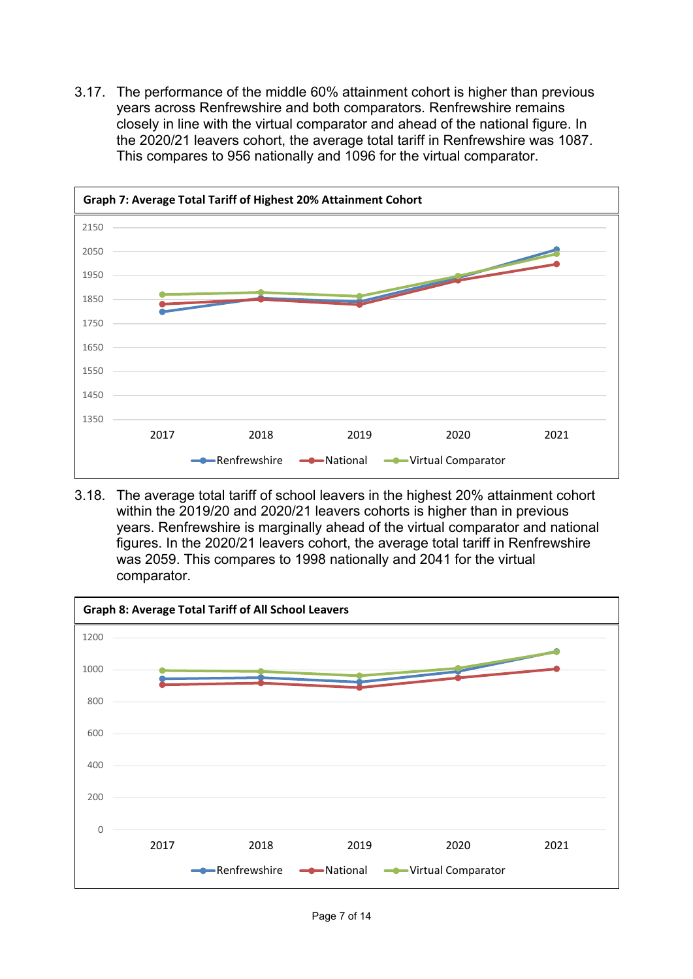3.17. The performance of the middle 60% attainment cohort is higher than previous years across Renfrewshire and both comparators. Renfrewshire remains closely in line with the virtual comparator and ahead of the national figure. In the 2020/21 leavers cohort, the average total tariff in Renfrewshire was 1087. This compares to 956 nationally and 1096 for the virtual comparator.



3.18. The average total tariff of school leavers in the highest 20% attainment cohort within the 2019/20 and 2020/21 leavers cohorts is higher than in previous years. Renfrewshire is marginally ahead of the virtual comparator and national figures. In the 2020/21 leavers cohort, the average total tariff in Renfrewshire was 2059. This compares to 1998 nationally and 2041 for the virtual comparator.

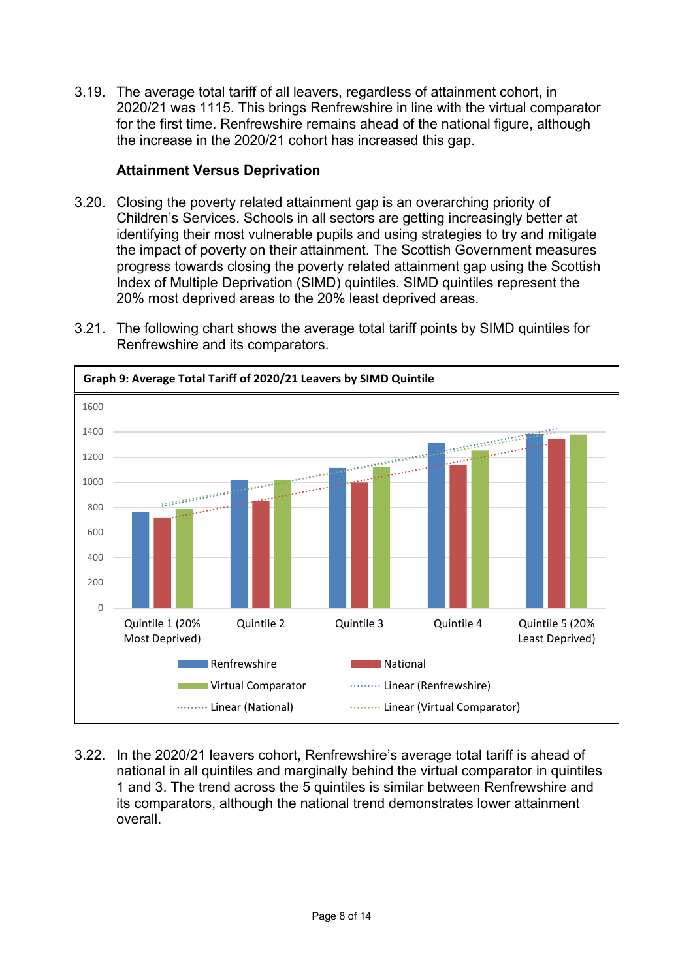3.19. The average total tariff of all leavers, regardless of attainment cohort, in 2020/21 was 1115. This brings Renfrewshire in line with the virtual comparator for the first time. Renfrewshire remains ahead of the national figure, although the increase in the 2020/21 cohort has increased this gap.

## **Attainment Versus Deprivation**

3.20. Closing the poverty related attainment gap is an overarching priority of Children's Services. Schools in all sectors are getting increasingly better at identifying their most vulnerable pupils and using strategies to try and mitigate the impact of poverty on their attainment. The Scottish Government measures progress towards closing the poverty related attainment gap using the Scottish Index of Multiple Deprivation (SIMD) quintiles. SIMD quintiles represent the 20% most deprived areas to the 20% least deprived areas.



3.21. The following chart shows the average total tariff points by SIMD quintiles for Renfrewshire and its comparators.

3.22. In the 2020/21 leavers cohort, Renfrewshire's average total tariff is ahead of national in all quintiles and marginally behind the virtual comparator in quintiles 1 and 3. The trend across the 5 quintiles is similar between Renfrewshire and its comparators, although the national trend demonstrates lower attainment overall.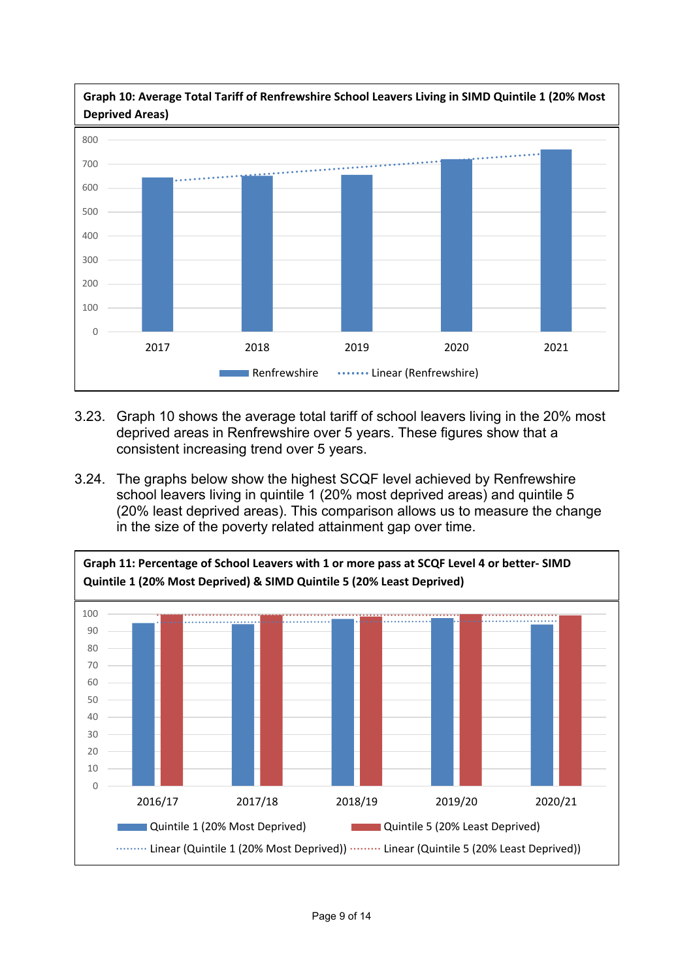

- 3.23. Graph 10 shows the average total tariff of school leavers living in the 20% most deprived areas in Renfrewshire over 5 years. These figures show that a consistent increasing trend over 5 years.
- 3.24. The graphs below show the highest SCQF level achieved by Renfrewshire school leavers living in quintile 1 (20% most deprived areas) and quintile 5 (20% least deprived areas). This comparison allows us to measure the change in the size of the poverty related attainment gap over time.

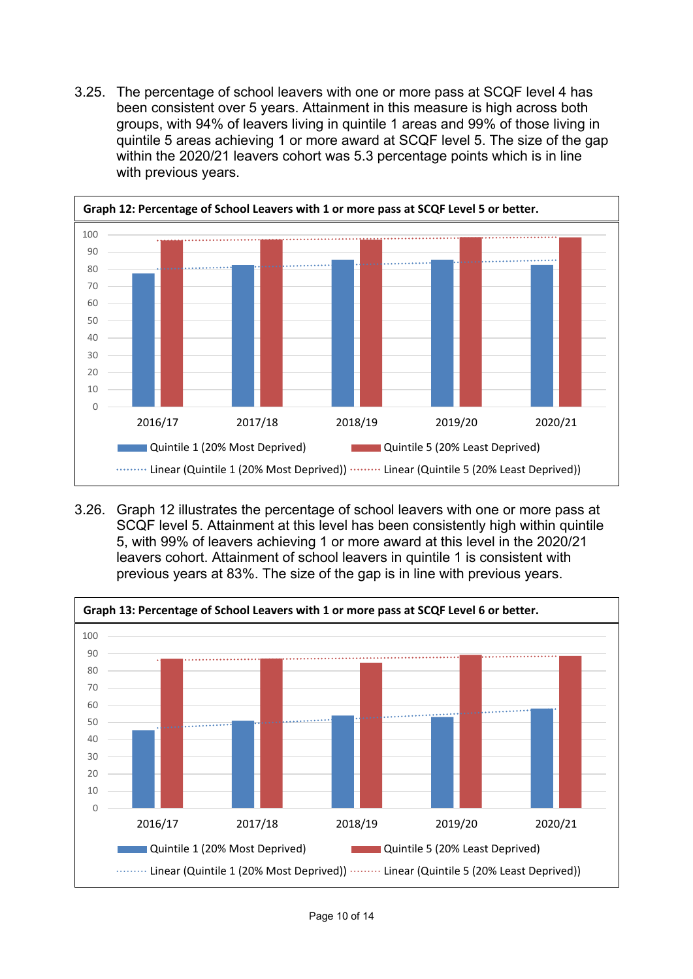3.25. The percentage of school leavers with one or more pass at SCQF level 4 has been consistent over 5 years. Attainment in this measure is high across both groups, with 94% of leavers living in quintile 1 areas and 99% of those living in quintile 5 areas achieving 1 or more award at SCQF level 5. The size of the gap within the 2020/21 leavers cohort was 5.3 percentage points which is in line with previous years.



3.26. Graph 12 illustrates the percentage of school leavers with one or more pass at SCQF level 5. Attainment at this level has been consistently high within quintile 5, with 99% of leavers achieving 1 or more award at this level in the 2020/21 leavers cohort. Attainment of school leavers in quintile 1 is consistent with previous years at 83%. The size of the gap is in line with previous years.

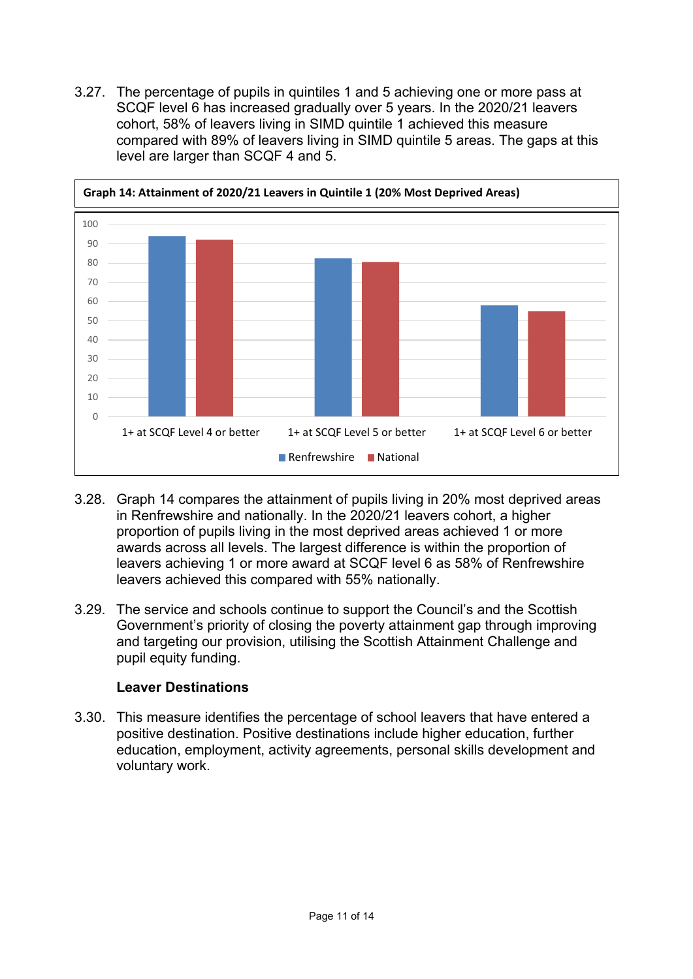3.27. The percentage of pupils in quintiles 1 and 5 achieving one or more pass at SCQF level 6 has increased gradually over 5 years. In the 2020/21 leavers cohort, 58% of leavers living in SIMD quintile 1 achieved this measure compared with 89% of leavers living in SIMD quintile 5 areas. The gaps at this level are larger than SCQF 4 and 5.



- 3.28. Graph 14 compares the attainment of pupils living in 20% most deprived areas in Renfrewshire and nationally. In the 2020/21 leavers cohort, a higher proportion of pupils living in the most deprived areas achieved 1 or more awards across all levels. The largest difference is within the proportion of leavers achieving 1 or more award at SCQF level 6 as 58% of Renfrewshire leavers achieved this compared with 55% nationally.
- 3.29. The service and schools continue to support the Council's and the Scottish Government's priority of closing the poverty attainment gap through improving and targeting our provision, utilising the Scottish Attainment Challenge and pupil equity funding.

## **Leaver Destinations**

3.30. This measure identifies the percentage of school leavers that have entered a positive destination. Positive destinations include higher education, further education, employment, activity agreements, personal skills development and voluntary work.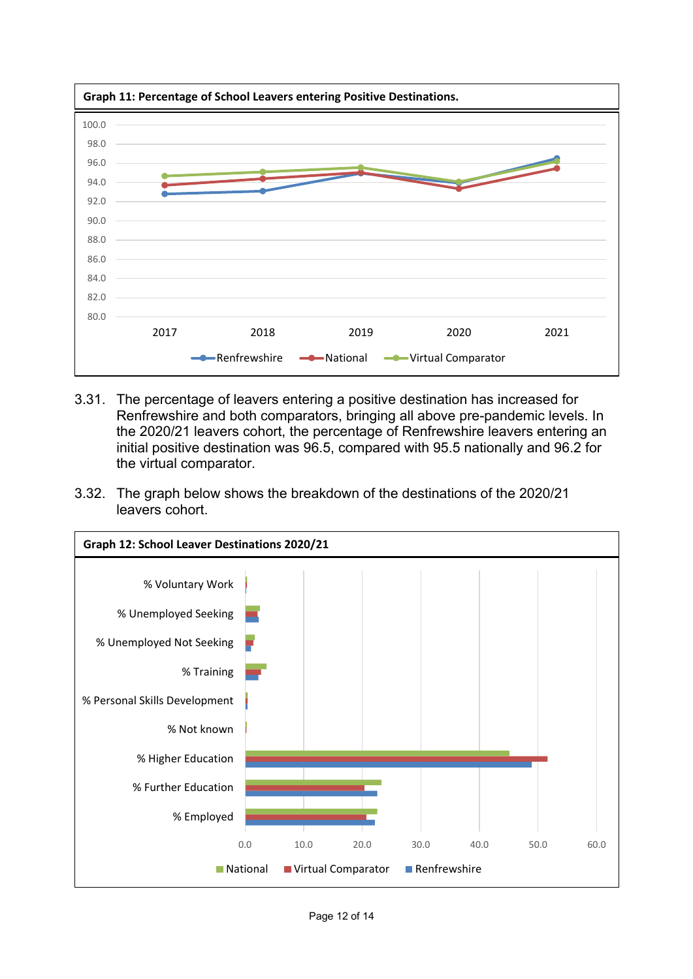

- 3.31. The percentage of leavers entering a positive destination has increased for Renfrewshire and both comparators, bringing all above pre-pandemic levels. In the 2020/21 leavers cohort, the percentage of Renfrewshire leavers entering an initial positive destination was 96.5, compared with 95.5 nationally and 96.2 for the virtual comparator.
- 3.32. The graph below shows the breakdown of the destinations of the 2020/21 leavers cohort.

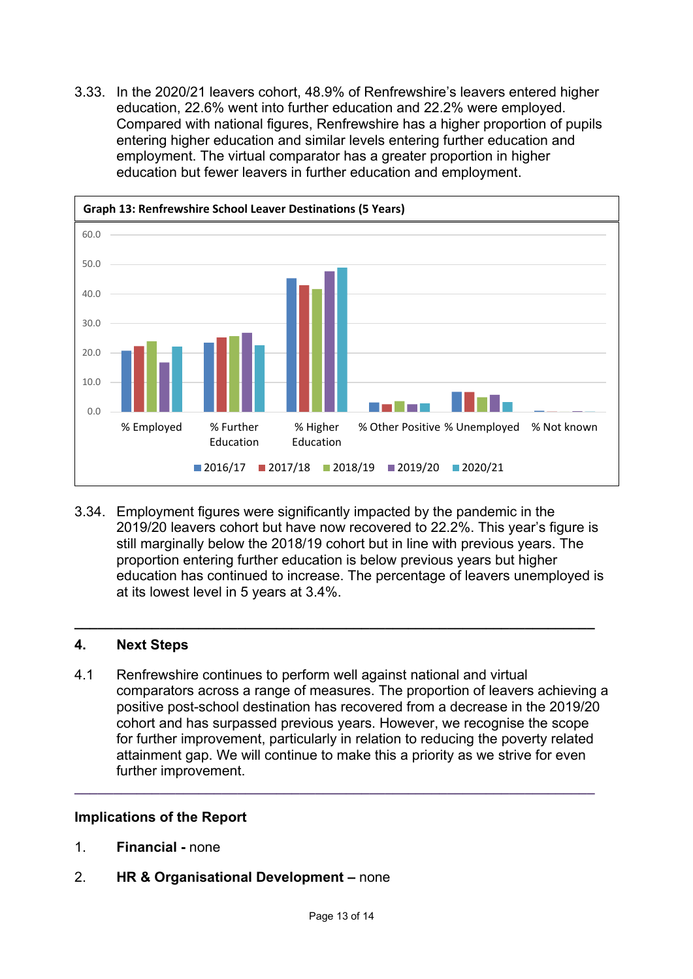3.33. In the 2020/21 leavers cohort, 48.9% of Renfrewshire's leavers entered higher education, 22.6% went into further education and 22.2% were employed. Compared with national figures, Renfrewshire has a higher proportion of pupils entering higher education and similar levels entering further education and employment. The virtual comparator has a greater proportion in higher education but fewer leavers in further education and employment.



3.34. Employment figures were significantly impacted by the pandemic in the 2019/20 leavers cohort but have now recovered to 22.2%. This year's figure is still marginally below the 2018/19 cohort but in line with previous years. The proportion entering further education is below previous years but higher education has continued to increase. The percentage of leavers unemployed is at its lowest level in 5 years at 3.4%.

**\_\_\_\_\_\_\_\_\_\_\_\_\_\_\_\_\_\_\_\_\_\_\_\_\_\_\_\_\_\_\_\_\_\_\_\_\_\_\_\_\_\_\_\_\_\_\_\_\_\_\_\_\_\_\_\_\_\_\_\_\_\_\_\_\_\_\_** 

## **4. Next Steps**

4.1 Renfrewshire continues to perform well against national and virtual comparators across a range of measures. The proportion of leavers achieving a positive post-school destination has recovered from a decrease in the 2019/20 cohort and has surpassed previous years. However, we recognise the scope for further improvement, particularly in relation to reducing the poverty related attainment gap. We will continue to make this a priority as we strive for even further improvement.

**\_\_\_\_\_\_\_\_\_\_\_\_\_\_\_\_\_\_\_\_\_\_\_\_\_\_\_\_\_\_\_\_\_\_\_\_\_\_\_\_\_\_\_\_\_\_\_\_\_\_\_\_\_\_\_\_\_\_\_\_\_\_\_\_\_\_\_** 

#### **Implications of the Report**

- 1. **Financial** none
- 2. **HR & Organisational Development** none